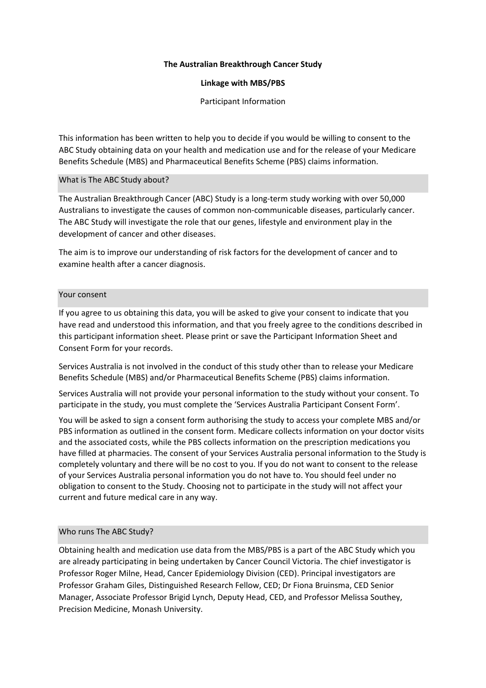## **The Australian Breakthrough Cancer Study**

# **Linkage with MBS/PBS**

Participant Information

This information has been written to help you to decide if you would be willing to consent to the ABC Study obtaining data on your health and medication use and for the release of your Medicare Benefits Schedule (MBS) and Pharmaceutical Benefits Scheme (PBS) claims information.

# What is The ABC Study about?

The Australian Breakthrough Cancer (ABC) Study is a long-term study working with over 50,000 Australians to investigate the causes of common non-communicable diseases, particularly cancer. The ABC Study will investigate the role that our genes, lifestyle and environment play in the development of cancer and other diseases.

The aim is to improve our understanding of risk factors for the development of cancer and to examine health after a cancer diagnosis.

# Your consent

If you agree to us obtaining this data, you will be asked to give your consent to indicate that you have read and understood this information, and that you freely agree to the conditions described in this participant information sheet. Please print or save the Participant Information Sheet and Consent Form for your records.

Services Australia is not involved in the conduct of this study other than to release your Medicare Benefits Schedule (MBS) and/or Pharmaceutical Benefits Scheme (PBS) claims information.

Services Australia will not provide your personal information to the study without your consent. To participate in the study, you must complete the 'Services Australia Participant Consent Form'.

You will be asked to sign a consent form authorising the study to access your complete MBS and/or PBS information as outlined in the consent form. Medicare collects information on your doctor visits and the associated costs, while the PBS collects information on the prescription medications you have filled at pharmacies. The consent of your Services Australia personal information to the Study is completely voluntary and there will be no cost to you. If you do not want to consent to the release of your Services Australia personal information you do not have to. You should feel under no obligation to consent to the Study. Choosing not to participate in the study will not affect your current and future medical care in any way.

# Who runs The ABC Study?

Obtaining health and medication use data from the MBS/PBS is a part of the ABC Study which you are already participating in being undertaken by Cancer Council Victoria. The chief investigator is Professor Roger Milne, Head, Cancer Epidemiology Division (CED). Principal investigators are Professor Graham Giles, Distinguished Research Fellow, CED; Dr Fiona Bruinsma, CED Senior Manager, Associate Professor Brigid Lynch, Deputy Head, CED, and Professor Melissa Southey, Precision Medicine, Monash University.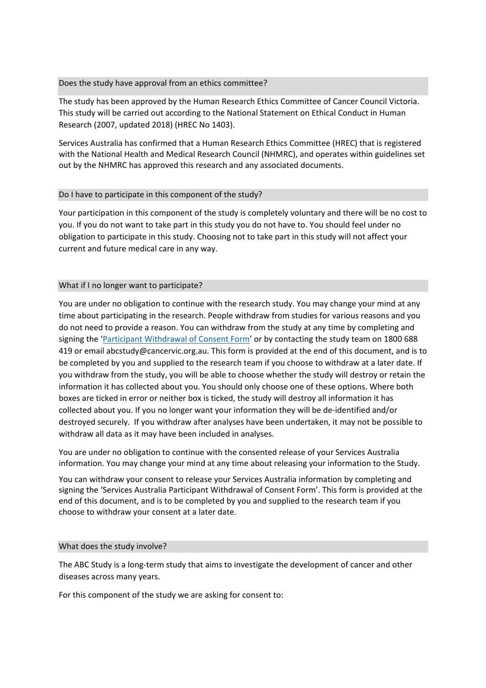## Does the study have approval from an ethics committee?

The study has been approved by the Human Research Ethics Committee of Cancer Council Victoria. This study will be carried out according to the National Statement on Ethical Conduct in Human Research (2007, updated 2018) (HREC No 1403).

Services Australia has confirmed that a Human Research Ethics Committee (HREC) that is registered with the National Health and Medical Research Council (NHMRC), and operates within guidelines set out by the NHMRC has approved this research and any associated documents.

### Do I have to participate in this component of the study?

Your participation in this component of the study is completely voluntary and there will be no cost to you. If you do not want to take part in this study you do not have to. You should feel under no obligation to participate in this study. Choosing not to take part in this study will not affect your current and future medical care in any way.

### What if I no longer want to participate?

You are under no obligation to continue with the research study. You may change your mind at any time about participating in the research. People withdraw from studies for various reasons and you do not need to provide a reason. You can withdraw from the study at any time by completing and signing the ['Participant Withdrawal of Consent Form'](https://www.abcstudy.com.au/member/withdraw.aspx) or by contacting the study team on 1800 688 419 or email abcstudy@cancervic.org.au. This form is provided at the end of this document, and is to be completed by you and supplied to the research team if you choose to withdraw at a later date. If you withdraw from the study, you will be able to choose whether the study will destroy or retain the information it has collected about you. You should only choose one of these options. Where both boxes are ticked in error or neither box is ticked, the study will destroy all information it has collected about you. If you no longer want your information they will be de-identified and/or destroyed securely. If you withdraw after analyses have been undertaken, it may not be possible to withdraw all data as it may have been included in analyses.

You are under no obligation to continue with the consented release of your Services Australia information. You may change your mind at any time about releasing your information to the Study.

You can withdraw your consent to release your Services Australia information by completing and signing the 'Services Australia Participant Withdrawal of Consent Form'. This form is provided at the end of this document, and is to be completed by you and supplied to the research team if you choose to withdraw your consent at a later date.

#### What does the study involve?

The ABC Study is a long-term study that aims to investigate the development of cancer and other diseases across many years.

For this component of the study we are asking for consent to: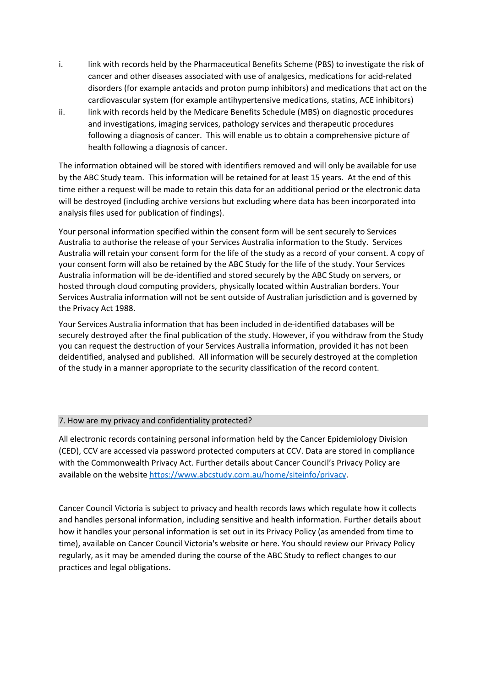- i. link with records held by the Pharmaceutical Benefits Scheme (PBS) to investigate the risk of cancer and other diseases associated with use of analgesics, medications for acid-related disorders (for example antacids and proton pump inhibitors) and medications that act on the cardiovascular system (for example antihypertensive medications, statins, ACE inhibitors)
- ii. link with records held by the Medicare Benefits Schedule (MBS) on diagnostic procedures and investigations, imaging services, pathology services and therapeutic procedures following a diagnosis of cancer. This will enable us to obtain a comprehensive picture of health following a diagnosis of cancer.

The information obtained will be stored with identifiers removed and will only be available for use by the ABC Study team. This information will be retained for at least 15 years. At the end of this time either a request will be made to retain this data for an additional period or the electronic data will be destroyed (including archive versions but excluding where data has been incorporated into analysis files used for publication of findings).

Your personal information specified within the consent form will be sent securely to Services Australia to authorise the release of your Services Australia information to the Study. Services Australia will retain your consent form for the life of the study as a record of your consent. A copy of your consent form will also be retained by the ABC Study for the life of the study. Your Services Australia information will be de-identified and stored securely by the ABC Study on servers, or hosted through cloud computing providers, physically located within Australian borders. Your Services Australia information will not be sent outside of Australian jurisdiction and is governed by the Privacy Act 1988.

Your Services Australia information that has been included in de-identified databases will be securely destroyed after the final publication of the study. However, if you withdraw from the Study you can request the destruction of your Services Australia information, provided it has not been deidentified, analysed and published. All information will be securely destroyed at the completion of the study in a manner appropriate to the security classification of the record content.

## 7. How are my privacy and confidentiality protected?

All electronic records containing personal information held by the Cancer Epidemiology Division (CED), CCV are accessed via password protected computers at CCV. Data are stored in compliance with the Commonwealth Privacy Act. Further details about Cancer Council's Privacy Policy are available on the website [https://www.abcstudy.com.au/home/siteinfo/privacy.](https://www.abcstudy.com.au/home/siteinfo/privacy)

Cancer Council Victoria is subject to privacy and health records laws which regulate how it collects and handles personal information, including sensitive and health information. Further details about how it handles your personal information is set out in its Privacy Policy (as amended from time to time), available on Cancer Council Victoria's website or here. You should review our Privacy Policy regularly, as it may be amended during the course of the ABC Study to reflect changes to our practices and legal obligations.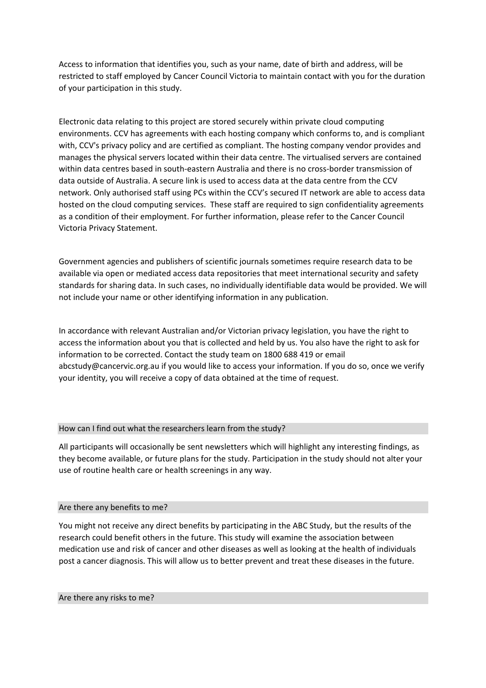Access to information that identifies you, such as your name, date of birth and address, will be restricted to staff employed by Cancer Council Victoria to maintain contact with you for the duration of your participation in this study.

Electronic data relating to this project are stored securely within private cloud computing environments. CCV has agreements with each hosting company which conforms to, and is compliant with, CCV's privacy policy and are certified as compliant. The hosting company vendor provides and manages the physical servers located within their data centre. The virtualised servers are contained within data centres based in south-eastern Australia and there is no cross-border transmission of data outside of Australia. A secure link is used to access data at the data centre from the CCV network. Only authorised staff using PCs within the CCV's secured IT network are able to access data hosted on the cloud computing services. These staff are required to sign confidentiality agreements as a condition of their employment. For further information, please refer to the Cancer Council Victoria Privacy Statement.

Government agencies and publishers of scientific journals sometimes require research data to be available via open or mediated access data repositories that meet international security and safety standards for sharing data. In such cases, no individually identifiable data would be provided. We will not include your name or other identifying information in any publication.

In accordance with relevant Australian and/or Victorian privacy legislation, you have the right to access the information about you that is collected and held by us. You also have the right to ask for information to be corrected. Contact the study team on 1800 688 419 or email abcstudy@cancervic.org.au if you would like to access your information. If you do so, once we verify your identity, you will receive a copy of data obtained at the time of request.

# How can I find out what the researchers learn from the study?

All participants will occasionally be sent newsletters which will highlight any interesting findings, as they become available, or future plans for the study. Participation in the study should not alter your use of routine health care or health screenings in any way.

## Are there any benefits to me?

You might not receive any direct benefits by participating in the ABC Study, but the results of the research could benefit others in the future. This study will examine the association between medication use and risk of cancer and other diseases as well as looking at the health of individuals post a cancer diagnosis. This will allow us to better prevent and treat these diseases in the future.

#### Are there any risks to me?